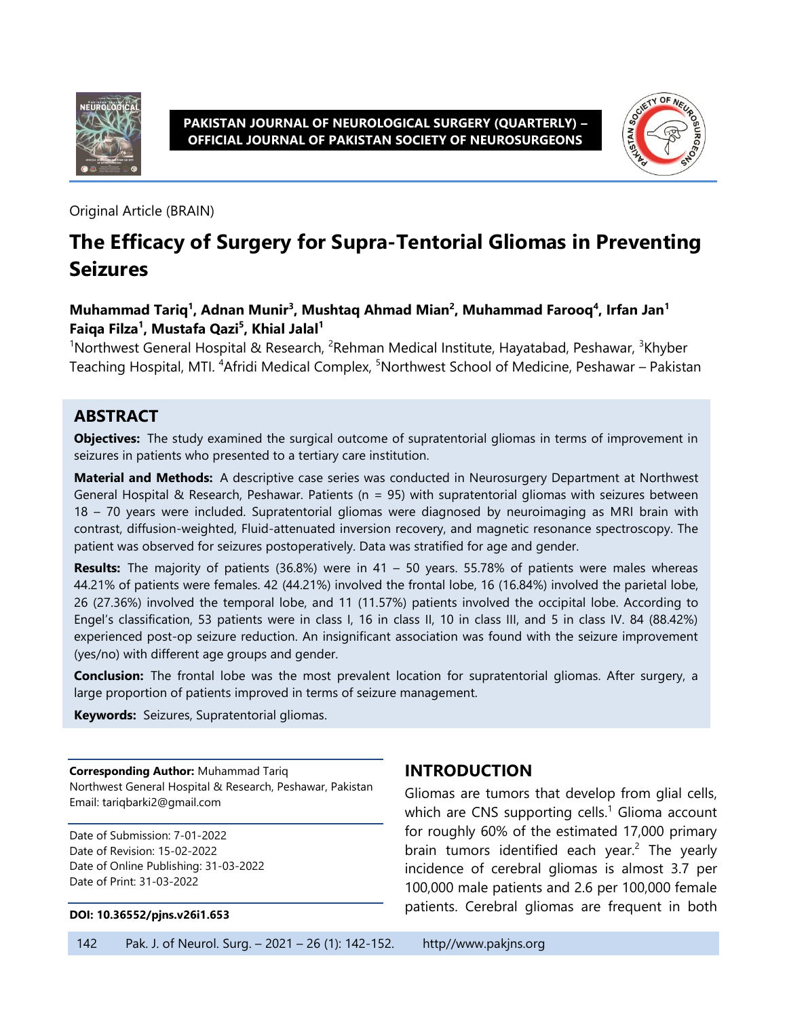

**PAKISTAN JOURNAL OF NEUROLOGICAL SURGERY (QUARTERLY) – OFFICIAL JOURNAL OF PAKISTAN SOCIETY OF NEUROSURGEONS**



Original Article (BRAIN)

# **The Efficacy of Surgery for Supra-Tentorial Gliomas in Preventing Seizures**

#### **Muhammad Tariq<sup>1</sup> , Adnan Munir<sup>3</sup> , Mushtaq Ahmad Mian<sup>2</sup> , Muhammad Farooq<sup>4</sup> , Irfan Jan<sup>1</sup> Faiqa Filza<sup>1</sup> , Mustafa Qazi<sup>5</sup> , Khial Jalal<sup>1</sup>**

<sup>1</sup>Northwest General Hospital & Research, <sup>2</sup>Rehman Medical Institute, Hayatabad, Peshawar, <sup>3</sup>Khyber Teaching Hospital, MTI. <sup>4</sup>Afridi Medical Complex, <sup>5</sup>Northwest School of Medicine, Peshawar – Pakistan

#### **ABSTRACT**

**Objectives:** The study examined the surgical outcome of supratentorial gliomas in terms of improvement in seizures in patients who presented to a tertiary care institution.

**Material and Methods:** A descriptive case series was conducted in Neurosurgery Department at Northwest General Hospital & Research, Peshawar. Patients ( $n = 95$ ) with supratentorial gliomas with seizures between 18 – 70 years were included. Supratentorial gliomas were diagnosed by neuroimaging as MRI brain with contrast, diffusion-weighted, Fluid-attenuated inversion recovery, and magnetic resonance spectroscopy. The patient was observed for seizures postoperatively. Data was stratified for age and gender.

**Results:** The majority of patients (36.8%) were in 41 – 50 years. 55.78% of patients were males whereas 44.21% of patients were females. 42 (44.21%) involved the frontal lobe, 16 (16.84%) involved the parietal lobe, 26 (27.36%) involved the temporal lobe, and 11 (11.57%) patients involved the occipital lobe. According to Engel's classification, 53 patients were in class I, 16 in class II, 10 in class III, and 5 in class IV. 84 (88.42%) experienced post-op seizure reduction. An insignificant association was found with the seizure improvement (yes/no) with different age groups and gender.

**Conclusion:** The frontal lobe was the most prevalent location for supratentorial gliomas. After surgery, a large proportion of patients improved in terms of seizure management.

**Keywords:** Seizures, Supratentorial gliomas.

**Corresponding Author:** Muhammad Tariq Northwest General Hospital & Research, Peshawar, Pakistan Email: tariqbarki2@gmail.com

Date of Submission: 7-01-2022 Date of Revision: 15-02-2022 Date of Online Publishing: 31-03-2022 Date of Print: 31-03-2022

#### **DOI: 10.36552/pjns.v26i1.653**

#### **INTRODUCTION**

Gliomas are tumors that develop from glial cells, which are CNS supporting cells.<sup>1</sup> Glioma account for roughly 60% of the estimated 17,000 primary brain tumors identified each year.<sup>2</sup> The yearly incidence of cerebral gliomas is almost 3.7 per 100,000 male patients and 2.6 per 100,000 female patients. Cerebral gliomas are frequent in both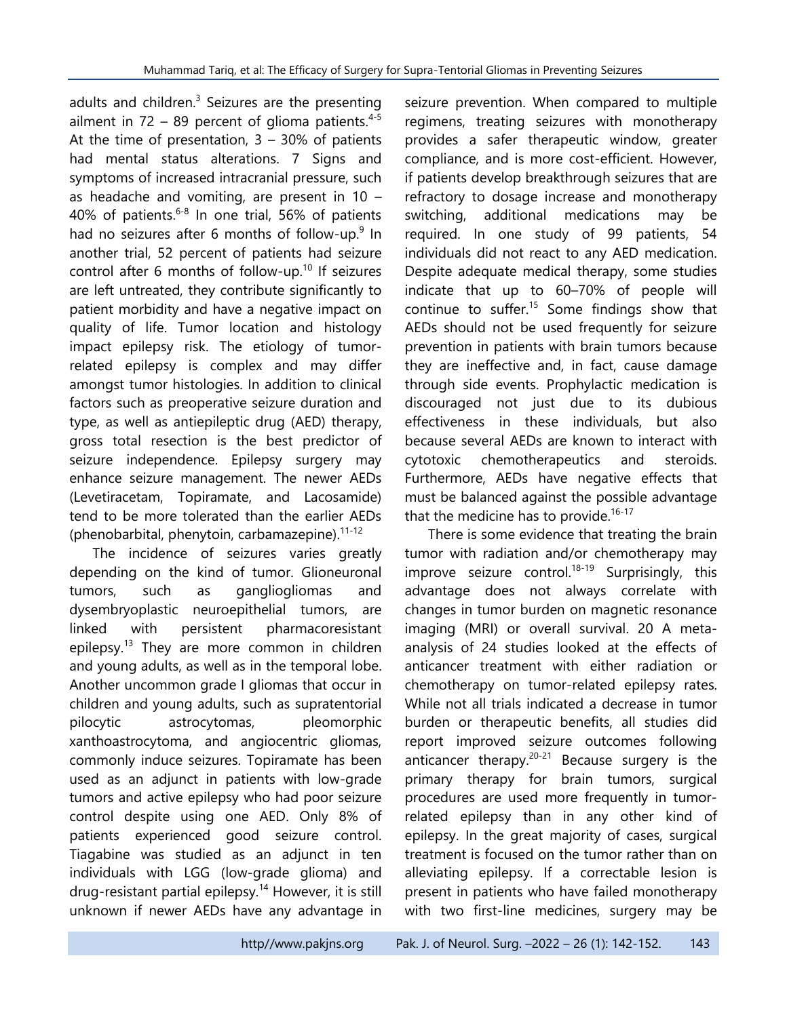adults and children. $3$  Seizures are the presenting ailment in  $72 - 89$  percent of glioma patients.<sup>4-5</sup> At the time of presentation,  $3 - 30\%$  of patients had mental status alterations. 7 Signs and symptoms of increased intracranial pressure, such as headache and vomiting, are present in 10 – 40% of patients.<sup>6-8</sup> In one trial, 56% of patients had no seizures after 6 months of follow-up.<sup>9</sup> In another trial, 52 percent of patients had seizure control after 6 months of follow-up.<sup>10</sup> If seizures are left untreated, they contribute significantly to patient morbidity and have a negative impact on quality of life. Tumor location and histology impact epilepsy risk. The etiology of tumorrelated epilepsy is complex and may differ amongst tumor histologies. In addition to clinical factors such as preoperative seizure duration and type, as well as antiepileptic drug (AED) therapy, gross total resection is the best predictor of seizure independence. Epilepsy surgery may enhance seizure management. The newer AEDs (Levetiracetam, Topiramate, and Lacosamide) tend to be more tolerated than the earlier AEDs (phenobarbital, phenytoin, carbamazepine). $11-12$ 

The incidence of seizures varies greatly depending on the kind of tumor. Glioneuronal tumors, such as gangliogliomas and dysembryoplastic neuroepithelial tumors, are linked with persistent pharmacoresistant epilepsy.<sup>13</sup> They are more common in children and young adults, as well as in the temporal lobe. Another uncommon grade I gliomas that occur in children and young adults, such as supratentorial pilocytic astrocytomas, pleomorphic xanthoastrocytoma, and angiocentric gliomas, commonly induce seizures. Topiramate has been used as an adjunct in patients with low-grade tumors and active epilepsy who had poor seizure control despite using one AED. Only 8% of patients experienced good seizure control. Tiagabine was studied as an adjunct in ten individuals with LGG (low-grade glioma) and drug-resistant partial epilepsy.<sup>14</sup> However, it is still unknown if newer AEDs have any advantage in

seizure prevention. When compared to multiple regimens, treating seizures with monotherapy provides a safer therapeutic window, greater compliance, and is more cost-efficient. However, if patients develop breakthrough seizures that are refractory to dosage increase and monotherapy switching, additional medications may be required. In one study of 99 patients, 54 individuals did not react to any AED medication. Despite adequate medical therapy, some studies indicate that up to 60–70% of people will continue to suffer.<sup>15</sup> Some findings show that AEDs should not be used frequently for seizure prevention in patients with brain tumors because they are ineffective and, in fact, cause damage through side events. Prophylactic medication is discouraged not just due to its dubious effectiveness in these individuals, but also because several AEDs are known to interact with cytotoxic chemotherapeutics and steroids. Furthermore, AEDs have negative effects that must be balanced against the possible advantage that the medicine has to provide.<sup>16-17</sup>

There is some evidence that treating the brain tumor with radiation and/or chemotherapy may improve seizure control.<sup>18-19</sup> Surprisingly, this advantage does not always correlate with changes in tumor burden on magnetic resonance imaging (MRI) or overall survival. 20 A metaanalysis of 24 studies looked at the effects of anticancer treatment with either radiation or chemotherapy on tumor-related epilepsy rates. While not all trials indicated a decrease in tumor burden or therapeutic benefits, all studies did report improved seizure outcomes following anticancer therapy. $20-21$  Because surgery is the primary therapy for brain tumors, surgical procedures are used more frequently in tumorrelated epilepsy than in any other kind of epilepsy. In the great majority of cases, surgical treatment is focused on the tumor rather than on alleviating epilepsy. If a correctable lesion is present in patients who have failed monotherapy with two first-line medicines, surgery may be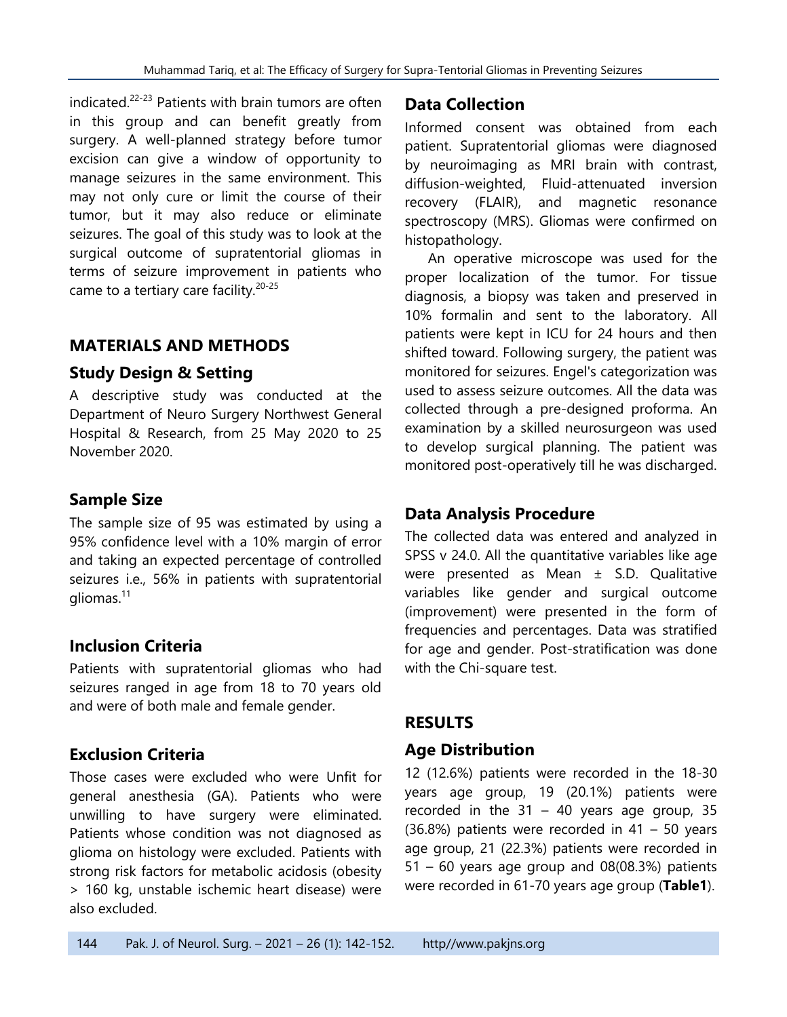indicated.<sup>22-23</sup> Patients with brain tumors are often in this group and can benefit greatly from surgery. A well-planned strategy before tumor excision can give a window of opportunity to manage seizures in the same environment. This may not only cure or limit the course of their tumor, but it may also reduce or eliminate seizures. The goal of this study was to look at the surgical outcome of supratentorial gliomas in terms of seizure improvement in patients who came to a tertiary care facility.<sup>20-25</sup>

#### **MATERIALS AND METHODS**

#### **Study Design & Setting**

A descriptive study was conducted at the Department of Neuro Surgery Northwest General Hospital & Research, from 25 May 2020 to 25 November 2020.

#### **Sample Size**

The sample size of 95 was estimated by using a 95% confidence level with a 10% margin of error and taking an expected percentage of controlled seizures i.e., 56% in patients with supratentorial gliomas.<sup>11</sup>

# **Inclusion Criteria**

Patients with supratentorial gliomas who had seizures ranged in age from 18 to 70 years old and were of both male and female gender.

# **Exclusion Criteria**

Those cases were excluded who were Unfit for general anesthesia (GA). Patients who were unwilling to have surgery were eliminated. Patients whose condition was not diagnosed as glioma on histology were excluded. Patients with strong risk factors for metabolic acidosis (obesity > 160 kg, unstable ischemic heart disease) were also excluded.

# **Data Collection**

Informed consent was obtained from each patient. Supratentorial gliomas were diagnosed by neuroimaging as MRI brain with contrast, diffusion-weighted, Fluid-attenuated inversion recovery (FLAIR), and magnetic resonance spectroscopy (MRS). Gliomas were confirmed on histopathology.

An operative microscope was used for the proper localization of the tumor. For tissue diagnosis, a biopsy was taken and preserved in 10% formalin and sent to the laboratory. All patients were kept in ICU for 24 hours and then shifted toward. Following surgery, the patient was monitored for seizures. Engel's categorization was used to assess seizure outcomes. All the data was collected through a pre-designed proforma. An examination by a skilled neurosurgeon was used to develop surgical planning. The patient was monitored post-operatively till he was discharged.

# **Data Analysis Procedure**

The collected data was entered and analyzed in SPSS v 24.0. All the quantitative variables like age were presented as Mean ± S.D. Qualitative variables like gender and surgical outcome (improvement) were presented in the form of frequencies and percentages. Data was stratified for age and gender. Post-stratification was done with the Chi-square test.

#### **RESULTS**

#### **Age Distribution**

12 (12.6%) patients were recorded in the 18-30 years age group, 19 (20.1%) patients were recorded in the  $31 - 40$  years age group, 35 (36.8%) patients were recorded in 41 – 50 years age group, 21 (22.3%) patients were recorded in  $51 - 60$  years age group and  $08(08.3%)$  patients were recorded in 61-70 years age group (**Table1**).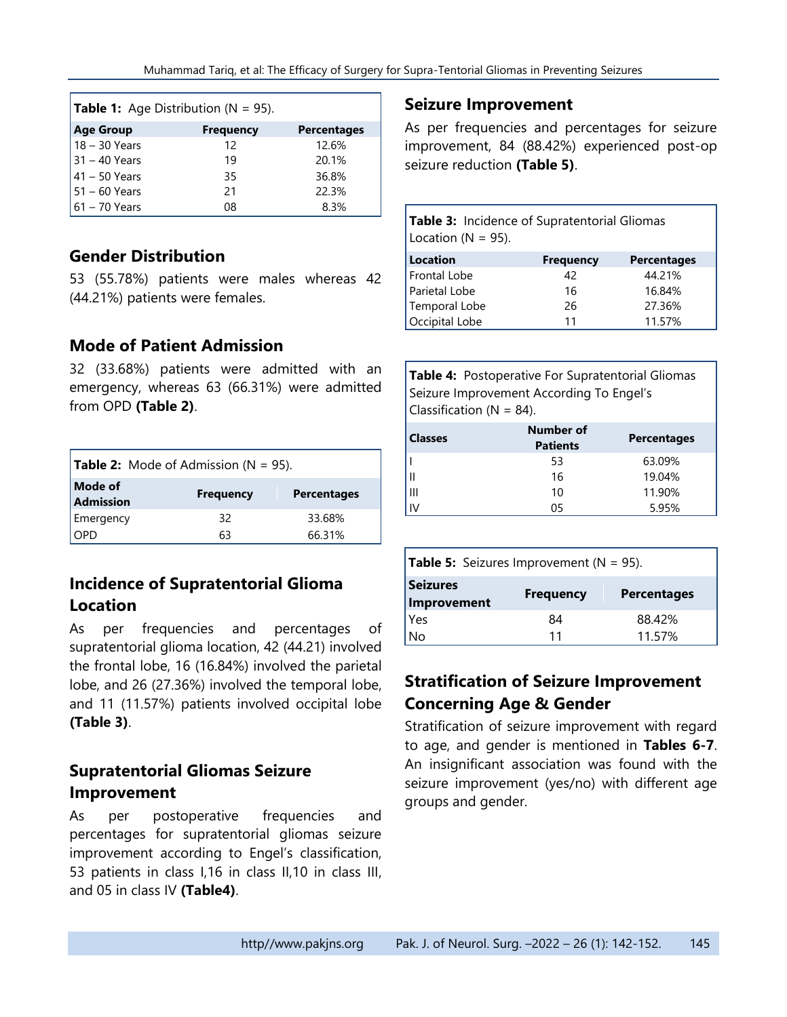| <b>Table 1:</b> Age Distribution ( $N = 95$ ). |                  |                    |  |  |
|------------------------------------------------|------------------|--------------------|--|--|
| <b>Age Group</b>                               | <b>Frequency</b> | <b>Percentages</b> |  |  |
| $18 - 30$ Years                                | 12               | 12.6%              |  |  |
| $31 - 40$ Years                                | 19               | 20.1%              |  |  |
| $41 - 50$ Years                                | 35               | 36.8%              |  |  |
| $ 51 - 60$ Years                               | 21               | 22.3%              |  |  |
| $61 - 70$ Years                                | 08               | 8.3%               |  |  |

#### **Gender Distribution**

53 (55.78%) patients were males whereas 42 (44.21%) patients were females.

# **Mode of Patient Admission**

32 (33.68%) patients were admitted with an emergency, whereas 63 (66.31%) were admitted from OPD **(Table 2)**.

| <b>Table 2:</b> Mode of Admission ( $N = 95$ ). |                  |                    |  |
|-------------------------------------------------|------------------|--------------------|--|
| Mode of<br>Admission                            | <b>Frequency</b> | <b>Percentages</b> |  |
| Emergency                                       | 32               | 33.68%             |  |
| I OPD                                           | 63               | 66.31%             |  |

# **Incidence of Supratentorial Glioma Location**

As per frequencies and percentages of supratentorial glioma location, 42 (44.21) involved the frontal lobe, 16 (16.84%) involved the parietal lobe, and 26 (27.36%) involved the temporal lobe, and 11 (11.57%) patients involved occipital lobe **(Table 3)**.

# **Supratentorial Gliomas Seizure Improvement**

As per postoperative frequencies and percentages for supratentorial gliomas seizure improvement according to Engel's classification, 53 patients in class I,16 in class II,10 in class III, and 05 in class IV **(Table4)**.

#### **Seizure Improvement**

As per frequencies and percentages for seizure improvement, 84 (88.42%) experienced post-op seizure reduction **(Table 5)**.

| <b>Table 3:</b> Incidence of Supratentorial Gliomas<br>Location ( $N = 95$ ). |                  |                    |  |
|-------------------------------------------------------------------------------|------------------|--------------------|--|
| <b>Location</b>                                                               | <b>Frequency</b> | <b>Percentages</b> |  |
| Frontal Lobe                                                                  | 42               | 44.21%             |  |
| Parietal Lobe                                                                 | 16               | 16.84%             |  |
| Temporal Lobe                                                                 | 26               | 27.36%             |  |
| Occipital Lobe                                                                | 11               | 11.57%             |  |

| Table 4: Postoperative For Supratentorial Gliomas |
|---------------------------------------------------|
| Seizure Improvement According To Engel's          |
| Classification ( $N = 84$ ).                      |

| <b>Classes</b> | Number of<br><b>Patients</b> | <b>Percentages</b> |
|----------------|------------------------------|--------------------|
|                | 53                           | 63.09%             |
|                | 16                           | 19.04%             |
| Ш              | 10                           | 11.90%             |
|                | 05                           | 5.95%              |

| <b>Table 5:</b> Seizures Improvement ( $N = 95$ ). |                  |                    |
|----------------------------------------------------|------------------|--------------------|
| <b>Seizures</b><br>Improvement                     | <b>Frequency</b> | <b>Percentages</b> |
| Yes                                                | 84               | 88.42%             |
| No                                                 | 11               | 11.57%             |

# **Stratification of Seizure Improvement Concerning Age & Gender**

Stratification of seizure improvement with regard to age, and gender is mentioned in **Tables 6-7**. An insignificant association was found with the seizure improvement (yes/no) with different age groups and gender.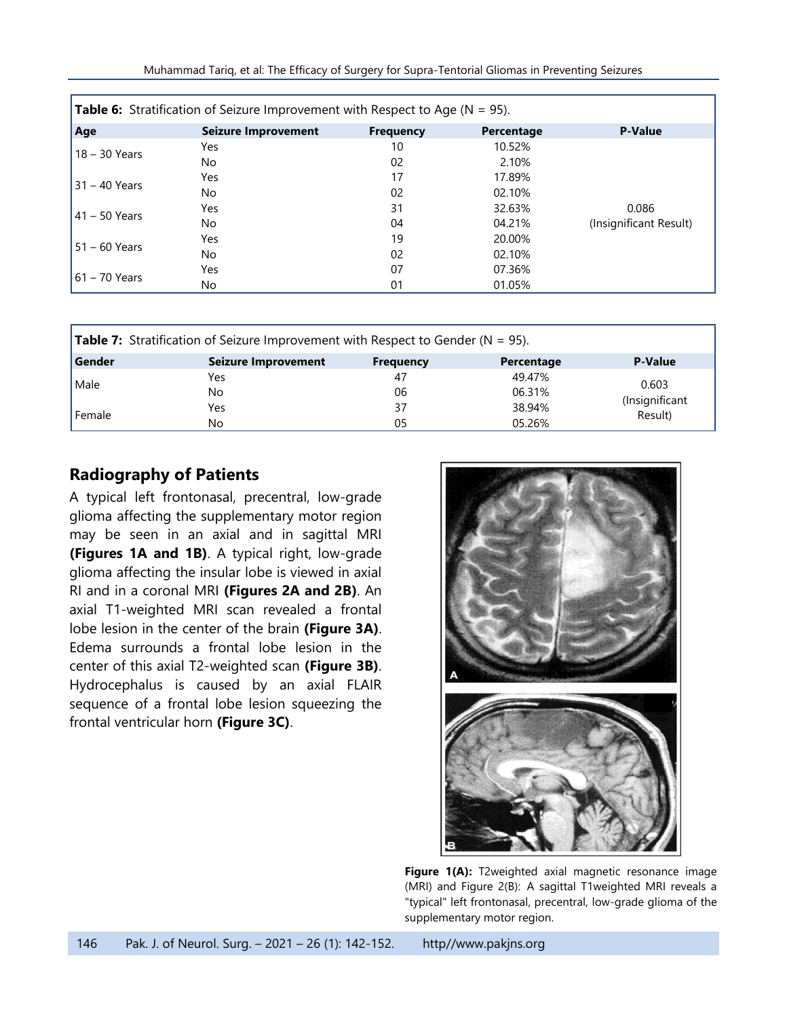| <b>Table 6:</b> Stratification of Seizure Improvement with Respect to Age ( $N = 95$ ). |                     |                  |            |                        |
|-----------------------------------------------------------------------------------------|---------------------|------------------|------------|------------------------|
| Age                                                                                     | Seizure Improvement | <b>Frequency</b> | Percentage | <b>P-Value</b>         |
| $18 - 30$ Years                                                                         | Yes                 | 10               | 10.52%     |                        |
|                                                                                         | No.                 | 02               | 2.10%      |                        |
| $31 - 40$ Years                                                                         | Yes                 | 17               | 17.89%     |                        |
|                                                                                         | No.                 | 02               | 02.10%     |                        |
| $41 - 50$ Years                                                                         | Yes                 | 31               | 32.63%     | 0.086                  |
|                                                                                         | No.                 | 04               | 04.21%     | (Insignificant Result) |
| $51 - 60$ Years                                                                         | Yes                 | 19               | 20.00%     |                        |
|                                                                                         | No.                 | 02               | 02.10%     |                        |
| $61 - 70$ Years                                                                         | Yes                 | 07               | 07.36%     |                        |
|                                                                                         | No                  | 01               | 01.05%     |                        |

| <b>Table 7:</b> Stratification of Seizure Improvement with Respect to Gender ( $N = 95$ ). |                     |                  |            |                                    |
|--------------------------------------------------------------------------------------------|---------------------|------------------|------------|------------------------------------|
| Gender                                                                                     | Seizure Improvement | <b>Frequency</b> | Percentage | <b>P-Value</b>                     |
| l Male                                                                                     | Yes                 | 47               | 49.47%     | 0.603<br>(Insignificant<br>Result) |
|                                                                                            | No                  | 06               | 06.31%     |                                    |
| Female                                                                                     | Yes                 | 37               | 38.94%     |                                    |
|                                                                                            | No                  | 05               | 05.26%     |                                    |

# **Radiography of Patients**

A typical left frontonasal, precentral, low-grade glioma affecting the supplementary motor region may be seen in an axial and in sagittal MRI **(Figures 1A and 1B)**. A typical right, low-grade glioma affecting the insular lobe is viewed in axial RI and in a coronal MRI **(Figures 2A and 2B)**. An axial T1-weighted MRI scan revealed a frontal lobe lesion in the center of the brain **(Figure 3A)**. Edema surrounds a frontal lobe lesion in the center of this axial T2-weighted scan **(Figure 3B)**. Hydrocephalus is caused by an axial FLAIR sequence of a frontal lobe lesion squeezing the frontal ventricular horn **(Figure 3C)**.



Figure 1(A): T2weighted axial magnetic resonance image (MRI) and Figure 2(B): A sagittal T1weighted MRI reveals a "typical" left frontonasal, precentral, low-grade glioma of the supplementary motor region.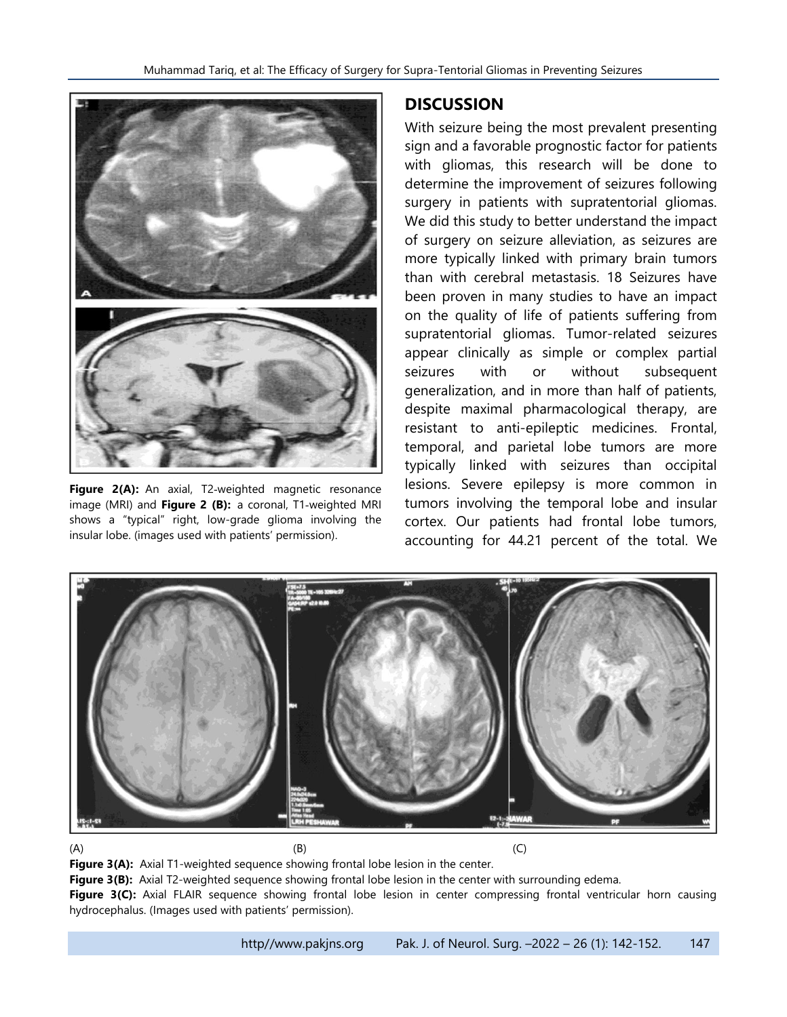

Figure 2(A): An axial, T2-weighted magnetic resonance image (MRI) and **Figure 2 (B):** a coronal, T1‐weighted MRI shows a "typical" right, low-grade glioma involving the insular lobe. (images used with patients' permission).

# **DISCUSSION**

With seizure being the most prevalent presenting sign and a favorable prognostic factor for patients with gliomas, this research will be done to determine the improvement of seizures following surgery in patients with supratentorial gliomas. We did this study to better understand the impact of surgery on seizure alleviation, as seizures are more typically linked with primary brain tumors than with cerebral metastasis. 18 Seizures have been proven in many studies to have an impact on the quality of life of patients suffering from supratentorial gliomas. Tumor-related seizures appear clinically as simple or complex partial seizures with or without subsequent generalization, and in more than half of patients, despite maximal pharmacological therapy, are resistant to anti-epileptic medicines. Frontal, temporal, and parietal lobe tumors are more typically linked with seizures than occipital lesions. Severe epilepsy is more common in tumors involving the temporal lobe and insular cortex. Our patients had frontal lobe tumors, accounting for 44.21 percent of the total. We



#### $(A)$  (B) (C)

**Figure 3(A):** Axial T1-weighted sequence showing frontal lobe lesion in the center. Figure 3(B): Axial T2-weighted sequence showing frontal lobe lesion in the center with surrounding edema.

**Figure 3(C):** Axial FLAIR sequence showing frontal lobe lesion in center compressing frontal ventricular horn causing hydrocephalus. (Images used with patients' permission).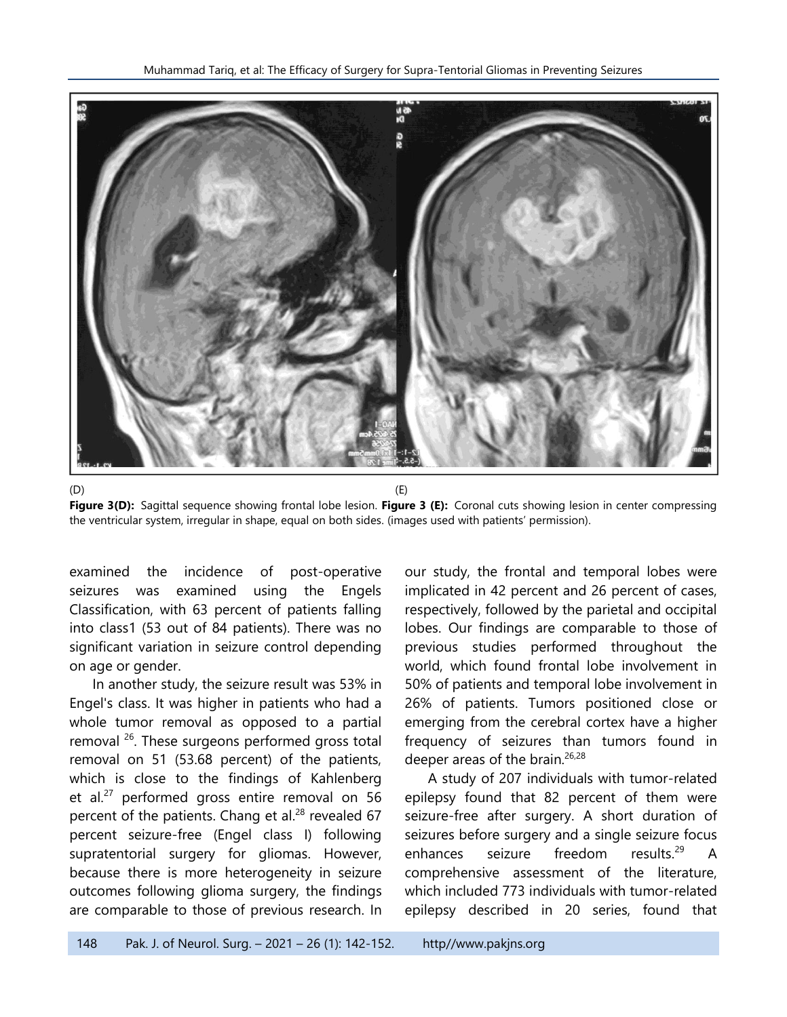

 $(D)$  (E) **Figure 3(D):** Sagittal sequence showing frontal lobe lesion. **Figure 3 (E):** Coronal cuts showing lesion in center compressing the ventricular system, irregular in shape, equal on both sides. (images used with patients' permission).

examined the incidence of post-operative seizures was examined using the Engels Classification, with 63 percent of patients falling into class1 (53 out of 84 patients). There was no significant variation in seizure control depending on age or gender.

In another study, the seizure result was 53% in Engel's class. It was higher in patients who had a whole tumor removal as opposed to a partial removal <sup>26</sup>. These surgeons performed gross total removal on 51 (53.68 percent) of the patients, which is close to the findings of Kahlenberg et al.<sup>27</sup> performed gross entire removal on 56 percent of the patients. Chang et al.<sup>28</sup> revealed 67 percent seizure-free (Engel class I) following supratentorial surgery for gliomas. However, because there is more heterogeneity in seizure outcomes following glioma surgery, the findings are comparable to those of previous research. In

our study, the frontal and temporal lobes were implicated in 42 percent and 26 percent of cases, respectively, followed by the parietal and occipital lobes. Our findings are comparable to those of previous studies performed throughout the world, which found frontal lobe involvement in 50% of patients and temporal lobe involvement in 26% of patients. Tumors positioned close or emerging from the cerebral cortex have a higher frequency of seizures than tumors found in deeper areas of the brain.<sup>26,28</sup>

A study of 207 individuals with tumor-related epilepsy found that 82 percent of them were seizure-free after surgery. A short duration of seizures before surgery and a single seizure focus enhances seizure freedom results.<sup>29</sup> A comprehensive assessment of the literature, which included 773 individuals with tumor-related epilepsy described in 20 series, found that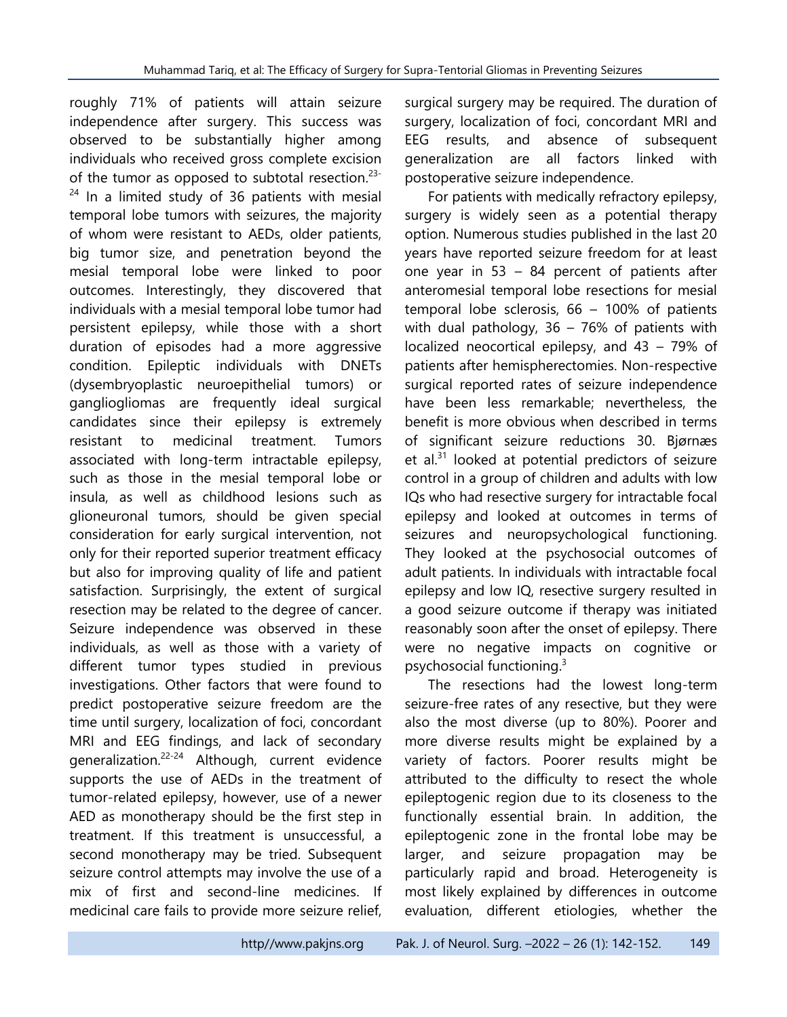roughly 71% of patients will attain seizure independence after surgery. This success was observed to be substantially higher among individuals who received gross complete excision of the tumor as opposed to subtotal resection.<sup>23-</sup>  $24$  In a limited study of 36 patients with mesial temporal lobe tumors with seizures, the majority of whom were resistant to AEDs, older patients, big tumor size, and penetration beyond the mesial temporal lobe were linked to poor outcomes. Interestingly, they discovered that individuals with a mesial temporal lobe tumor had persistent epilepsy, while those with a short duration of episodes had a more aggressive condition. Epileptic individuals with DNETs (dysembryoplastic neuroepithelial tumors) or gangliogliomas are frequently ideal surgical candidates since their epilepsy is extremely resistant to medicinal treatment. Tumors associated with long-term intractable epilepsy, such as those in the mesial temporal lobe or insula, as well as childhood lesions such as glioneuronal tumors, should be given special consideration for early surgical intervention, not only for their reported superior treatment efficacy but also for improving quality of life and patient satisfaction. Surprisingly, the extent of surgical resection may be related to the degree of cancer. Seizure independence was observed in these individuals, as well as those with a variety of different tumor types studied in previous investigations. Other factors that were found to predict postoperative seizure freedom are the time until surgery, localization of foci, concordant MRI and EEG findings, and lack of secondary generalization.22-24 Although, current evidence supports the use of AEDs in the treatment of tumor-related epilepsy, however, use of a newer AED as monotherapy should be the first step in treatment. If this treatment is unsuccessful, a second monotherapy may be tried. Subsequent seizure control attempts may involve the use of a mix of first and second-line medicines. If medicinal care fails to provide more seizure relief,

surgical surgery may be required. The duration of surgery, localization of foci, concordant MRI and EEG results, and absence of subsequent generalization are all factors linked with postoperative seizure independence.

For patients with medically refractory epilepsy, surgery is widely seen as a potential therapy option. Numerous studies published in the last 20 years have reported seizure freedom for at least one year in 53 – 84 percent of patients after anteromesial temporal lobe resections for mesial temporal lobe sclerosis, 66 – 100% of patients with dual pathology,  $36 - 76\%$  of patients with localized neocortical epilepsy, and 43 – 79% of patients after hemispherectomies. Non-respective surgical reported rates of seizure independence have been less remarkable; nevertheless, the benefit is more obvious when described in terms of significant seizure reductions 30. Bjørnæs et al. $31$  looked at potential predictors of seizure control in a group of children and adults with low IQs who had resective surgery for intractable focal epilepsy and looked at outcomes in terms of seizures and neuropsychological functioning. They looked at the psychosocial outcomes of adult patients. In individuals with intractable focal epilepsy and low IQ, resective surgery resulted in a good seizure outcome if therapy was initiated reasonably soon after the onset of epilepsy. There were no negative impacts on cognitive or psychosocial functioning. 3

The resections had the lowest long-term seizure-free rates of any resective, but they were also the most diverse (up to 80%). Poorer and more diverse results might be explained by a variety of factors. Poorer results might be attributed to the difficulty to resect the whole epileptogenic region due to its closeness to the functionally essential brain. In addition, the epileptogenic zone in the frontal lobe may be larger, and seizure propagation may be particularly rapid and broad. Heterogeneity is most likely explained by differences in outcome evaluation, different etiologies, whether the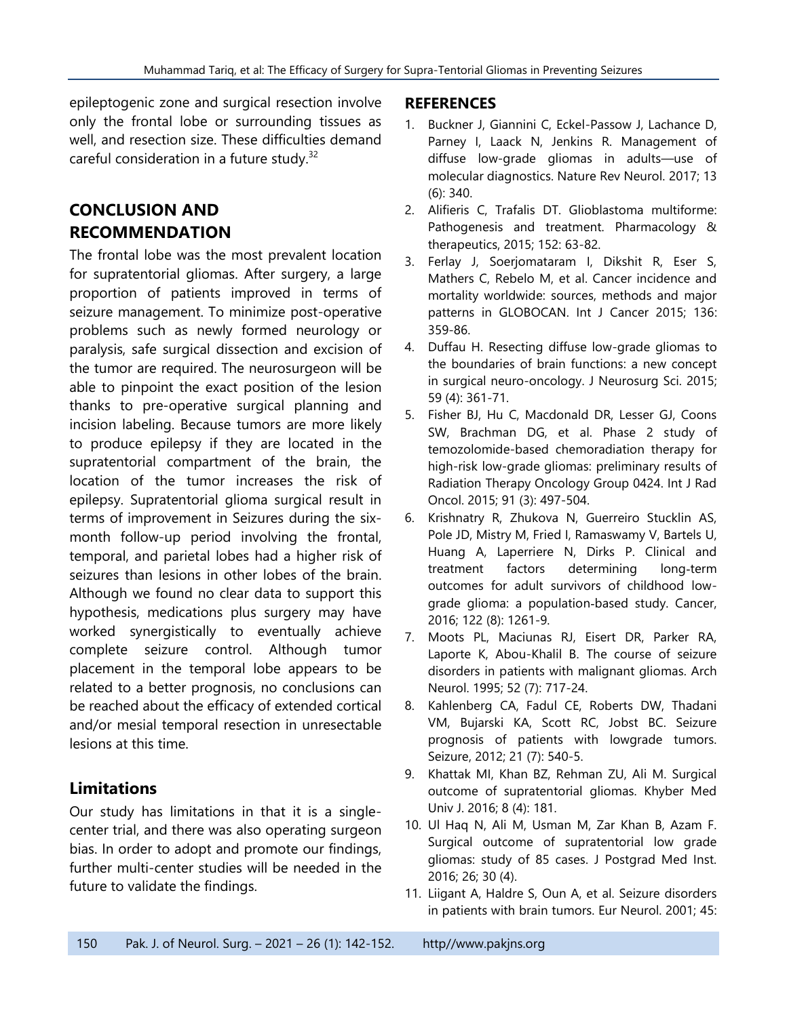epileptogenic zone and surgical resection involve only the frontal lobe or surrounding tissues as well, and resection size. These difficulties demand careful consideration in a future study.<sup>32</sup>

# **CONCLUSION AND RECOMMENDATION**

The frontal lobe was the most prevalent location for supratentorial gliomas. After surgery, a large proportion of patients improved in terms of seizure management. To minimize post-operative problems such as newly formed neurology or paralysis, safe surgical dissection and excision of the tumor are required. The neurosurgeon will be able to pinpoint the exact position of the lesion thanks to pre-operative surgical planning and incision labeling. Because tumors are more likely to produce epilepsy if they are located in the supratentorial compartment of the brain, the location of the tumor increases the risk of epilepsy. Supratentorial glioma surgical result in terms of improvement in Seizures during the sixmonth follow-up period involving the frontal, temporal, and parietal lobes had a higher risk of seizures than lesions in other lobes of the brain. Although we found no clear data to support this hypothesis, medications plus surgery may have worked synergistically to eventually achieve complete seizure control. Although tumor placement in the temporal lobe appears to be related to a better prognosis, no conclusions can be reached about the efficacy of extended cortical and/or mesial temporal resection in unresectable lesions at this time.

# **Limitations**

Our study has limitations in that it is a singlecenter trial, and there was also operating surgeon bias. In order to adopt and promote our findings, further multi-center studies will be needed in the future to validate the findings.

#### **REFERENCES**

- 1. Buckner J, Giannini C, Eckel-Passow J, Lachance D, Parney I, Laack N, Jenkins R. Management of diffuse low-grade gliomas in adults—use of molecular diagnostics. Nature Rev Neurol. 2017; 13 (6): 340.
- 2. Alifieris C, Trafalis DT. Glioblastoma multiforme: Pathogenesis and treatment. Pharmacology & therapeutics, 2015; 152: 63-82.
- 3. Ferlay J, Soerjomataram I, Dikshit R, Eser S, Mathers C, Rebelo M, et al. Cancer incidence and mortality worldwide: sources, methods and major patterns in GLOBOCAN. Int J Cancer 2015; 136: 359-86.
- 4. Duffau H. Resecting diffuse low-grade gliomas to the boundaries of brain functions: a new concept in surgical neuro-oncology. J Neurosurg Sci. 2015; 59 (4): 361-71.
- 5. Fisher BJ, Hu C, Macdonald DR, Lesser GJ, Coons SW, Brachman DG, et al. Phase 2 study of temozolomide-based chemoradiation therapy for high-risk low-grade gliomas: preliminary results of Radiation Therapy Oncology Group 0424. Int J Rad Oncol. 2015; 91 (3): 497-504.
- 6. Krishnatry R, Zhukova N, Guerreiro Stucklin AS, Pole JD, Mistry M, Fried I, Ramaswamy V, Bartels U, Huang A, Laperriere N, Dirks P. Clinical and treatment factors determining long‐term outcomes for adult survivors of childhood lowgrade glioma: a population‐based study. Cancer, 2016; 122 (8): 1261-9.
- 7. Moots PL, Maciunas RJ, Eisert DR, Parker RA, Laporte K, Abou-Khalil B. The course of seizure disorders in patients with malignant gliomas. Arch Neurol. 1995; 52 (7): 717-24.
- 8. Kahlenberg CA, Fadul CE, Roberts DW, Thadani VM, Bujarski KA, Scott RC, Jobst BC. Seizure prognosis of patients with lowgrade tumors. Seizure, 2012; 21 (7): 540-5.
- 9. Khattak MI, Khan BZ, Rehman ZU, Ali M. Surgical outcome of supratentorial gliomas. Khyber Med Univ J. 2016; 8 (4): 181.
- 10. Ul Haq N, Ali M, Usman M, Zar Khan B, Azam F. Surgical outcome of supratentorial low grade gliomas: study of 85 cases. J Postgrad Med Inst. 2016; 26; 30 (4).
- 11. Liigant A, Haldre S, Oun A, et al. Seizure disorders in patients with brain tumors. Eur Neurol. 2001; 45: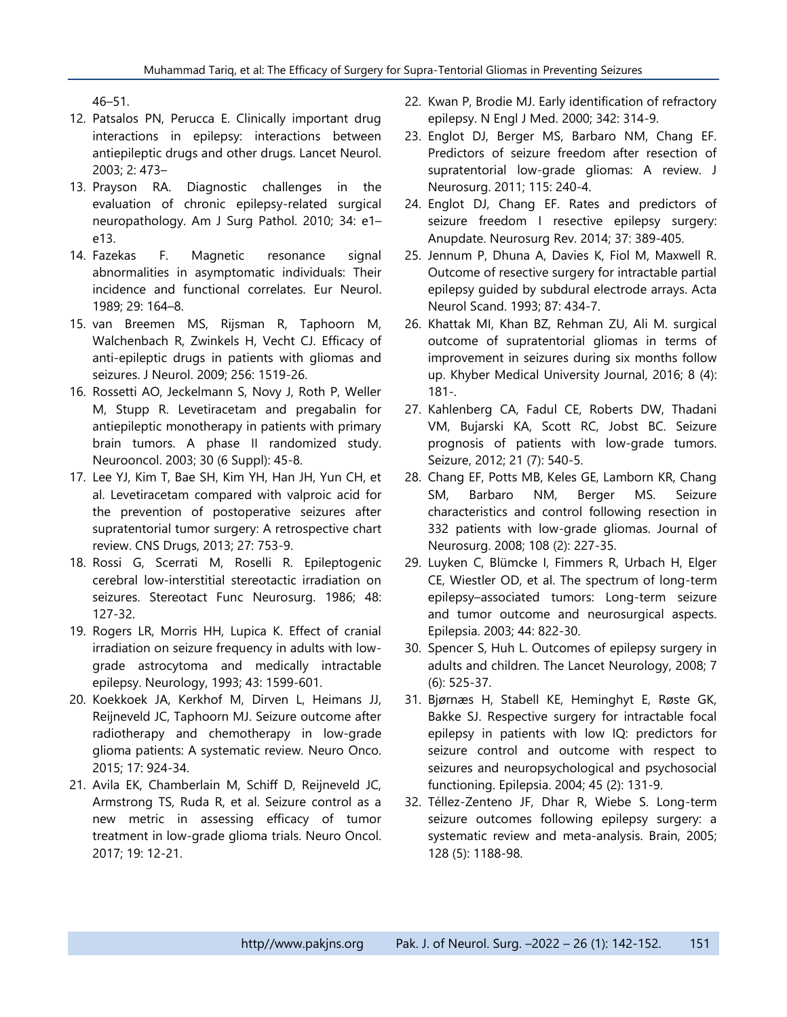46–51.

- 12. Patsalos PN, Perucca E. Clinically important drug interactions in epilepsy: interactions between antiepileptic drugs and other drugs. Lancet Neurol. 2003; 2: 473–
- 13. Prayson RA. Diagnostic challenges in the evaluation of chronic epilepsy-related surgical neuropathology. Am J Surg Pathol. 2010; 34: e1– e13.
- 14. Fazekas F. Magnetic resonance signal abnormalities in asymptomatic individuals: Their incidence and functional correlates. Eur Neurol. 1989; 29: 164–8.
- 15. van Breemen MS, Rijsman R, Taphoorn M, Walchenbach R, Zwinkels H, Vecht CJ. Efficacy of anti-epileptic drugs in patients with gliomas and seizures. J Neurol. 2009; 256: 1519-26.
- 16. Rossetti AO, Jeckelmann S, Novy J, Roth P, Weller M, Stupp R. Levetiracetam and pregabalin for antiepileptic monotherapy in patients with primary brain tumors. A phase II randomized study. Neurooncol. 2003; 30 (6 Suppl): 45-8.
- 17. Lee YJ, Kim T, Bae SH, Kim YH, Han JH, Yun CH, et al. Levetiracetam compared with valproic acid for the prevention of postoperative seizures after supratentorial tumor surgery: A retrospective chart review. CNS Drugs, 2013; 27: 753-9.
- 18. Rossi G, Scerrati M, Roselli R. Epileptogenic cerebral low-interstitial stereotactic irradiation on seizures. Stereotact Func Neurosurg. 1986; 48: 127-32.
- 19. Rogers LR, Morris HH, Lupica K. Effect of cranial irradiation on seizure frequency in adults with lowgrade astrocytoma and medically intractable epilepsy. Neurology, 1993; 43: 1599-601.
- 20. Koekkoek JA, Kerkhof M, Dirven L, Heimans JJ, Reijneveld JC, Taphoorn MJ. Seizure outcome after radiotherapy and chemotherapy in low-grade glioma patients: A systematic review. Neuro Onco. 2015; 17: 924-34.
- 21. Avila EK, Chamberlain M, Schiff D, Reijneveld JC, Armstrong TS, Ruda R, et al. Seizure control as a new metric in assessing efficacy of tumor treatment in low-grade glioma trials. Neuro Oncol. 2017; 19: 12-21.
- 22. Kwan P, Brodie MJ. Early identification of refractory epilepsy. N Engl J Med. 2000; 342: 314-9.
- 23. Englot DJ, Berger MS, Barbaro NM, Chang EF. Predictors of seizure freedom after resection of supratentorial low-grade gliomas: A review. J Neurosurg. 2011; 115: 240-4.
- 24. Englot DJ, Chang EF. Rates and predictors of seizure freedom I resective epilepsy surgery: Anupdate. Neurosurg Rev. 2014; 37: 389-405.
- 25. Jennum P, Dhuna A, Davies K, Fiol M, Maxwell R. Outcome of resective surgery for intractable partial epilepsy guided by subdural electrode arrays. Acta Neurol Scand. 1993; 87: 434-7.
- 26. Khattak MI, Khan BZ, Rehman ZU, Ali M. surgical outcome of supratentorial gliomas in terms of improvement in seizures during six months follow up. Khyber Medical University Journal, 2016; 8 (4): 181-.
- 27. Kahlenberg CA, Fadul CE, Roberts DW, Thadani VM, Bujarski KA, Scott RC, Jobst BC. Seizure prognosis of patients with low-grade tumors. Seizure, 2012; 21 (7): 540-5.
- 28. Chang EF, Potts MB, Keles GE, Lamborn KR, Chang SM, Barbaro NM, Berger MS. Seizure characteristics and control following resection in 332 patients with low-grade gliomas. Journal of Neurosurg. 2008; 108 (2): 227-35.
- 29. Luyken C, Blümcke I, Fimmers R, Urbach H, Elger CE, Wiestler OD, et al. The spectrum of long-term epilepsy–associated tumors: Long-term seizure and tumor outcome and neurosurgical aspects. Epilepsia. 2003; 44: 822-30.
- 30. Spencer S, Huh L. Outcomes of epilepsy surgery in adults and children. The Lancet Neurology, 2008; 7 (6): 525-37.
- 31. Bjørnæs H, Stabell KE, Heminghyt E, Røste GK, Bakke SJ. Respective surgery for intractable focal epilepsy in patients with low IQ: predictors for seizure control and outcome with respect to seizures and neuropsychological and psychosocial functioning. Epilepsia. 2004; 45 (2): 131-9.
- 32. Téllez-Zenteno JF, Dhar R, Wiebe S. Long-term seizure outcomes following epilepsy surgery: a systematic review and meta-analysis. Brain, 2005; 128 (5): 1188-98.